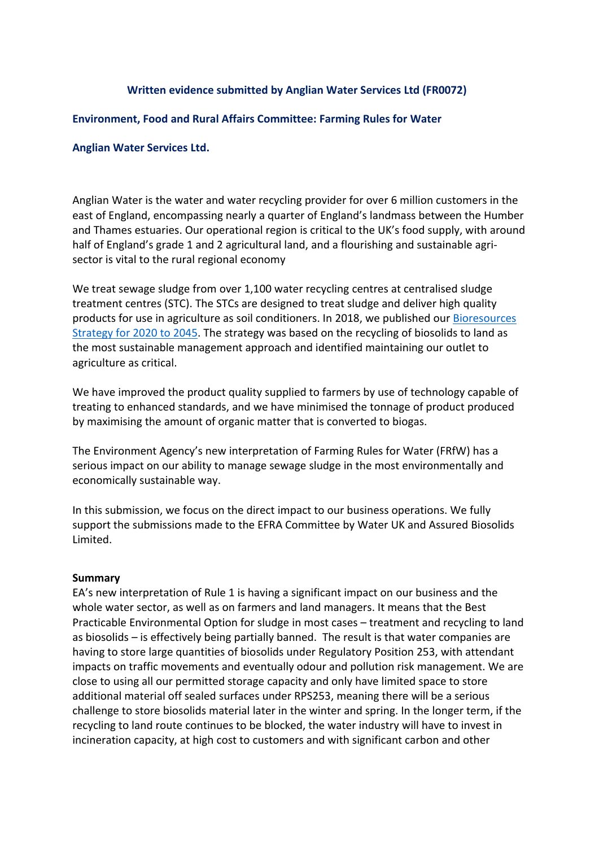## **Written evidence submitted by Anglian Water Services Ltd (FR0072)**

### **Environment, Food and Rural Affairs Committee: Farming Rules for Water**

### **Anglian Water Services Ltd.**

Anglian Water is the water and water recycling provider for over 6 million customers in the east of England, encompassing nearly a quarter of England's landmass between the Humber and Thames estuaries. Our operational region is critical to the UK's food supply, with around half of England's grade 1 and 2 agricultural land, and a flourishing and sustainable agrisector is vital to the rural regional economy

We treat sewage sludge from over 1,100 water recycling centres at centralised sludge treatment centres (STC). The STCs are designed to treat sludge and deliver high quality products for use in agriculture as soil conditioners. In 2018, we published our [Bioresources](https://www.anglianwater.co.uk/siteassets/household/about-us/pr19-11a-anglian-water-bioresources-strategy-2020-2045.pdf) [Strategy](https://www.anglianwater.co.uk/siteassets/household/about-us/pr19-11a-anglian-water-bioresources-strategy-2020-2045.pdf) [for](https://www.anglianwater.co.uk/siteassets/household/about-us/pr19-11a-anglian-water-bioresources-strategy-2020-2045.pdf) [2020](https://www.anglianwater.co.uk/siteassets/household/about-us/pr19-11a-anglian-water-bioresources-strategy-2020-2045.pdf) [to](https://www.anglianwater.co.uk/siteassets/household/about-us/pr19-11a-anglian-water-bioresources-strategy-2020-2045.pdf) [2045.](https://www.anglianwater.co.uk/siteassets/household/about-us/pr19-11a-anglian-water-bioresources-strategy-2020-2045.pdf) The strategy was based on the recycling of biosolids to land as the most sustainable management approach and identified maintaining our outlet to agriculture as critical.

We have improved the product quality supplied to farmers by use of technology capable of treating to enhanced standards, and we have minimised the tonnage of product produced by maximising the amount of organic matter that is converted to biogas.

The Environment Agency's new interpretation of Farming Rules for Water (FRfW) has a serious impact on our ability to manage sewage sludge in the most environmentally and economically sustainable way.

In this submission, we focus on the direct impact to our business operations. We fully support the submissions made to the EFRA Committee by Water UK and Assured Biosolids Limited.

#### **Summary**

EA's new interpretation of Rule 1 is having a significant impact on our business and the whole water sector, as well as on farmers and land managers. It means that the Best Practicable Environmental Option for sludge in most cases – treatment and recycling to land as biosolids – is effectively being partially banned. The result is that water companies are having to store large quantities of biosolids under Regulatory Position 253, with attendant impacts on traffic movements and eventually odour and pollution risk management. We are close to using all our permitted storage capacity and only have limited space to store additional material off sealed surfaces under RPS253, meaning there will be a serious challenge to store biosolids material later in the winter and spring. In the longer term, if the recycling to land route continues to be blocked, the water industry will have to invest in incineration capacity, at high cost to customers and with significant carbon and other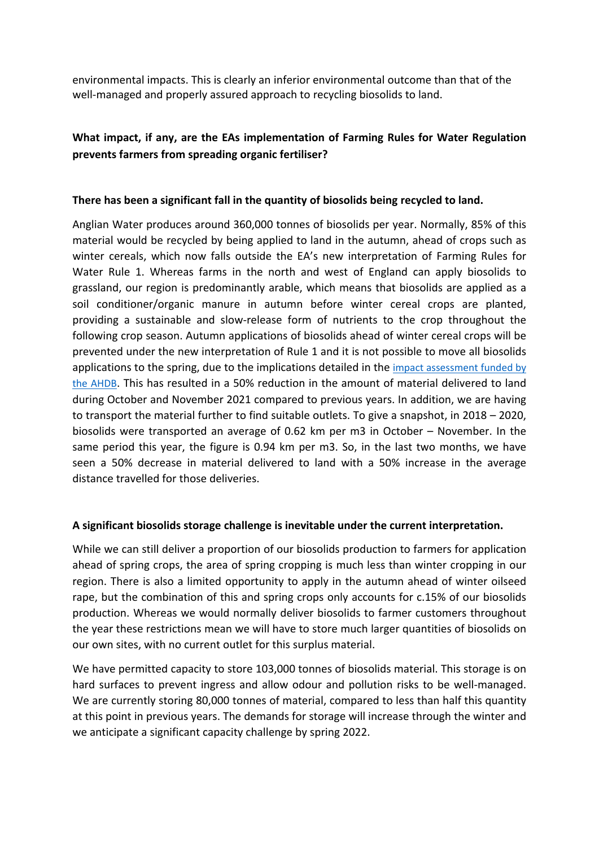environmental impacts. This is clearly an inferior environmental outcome than that of the well-managed and properly assured approach to recycling biosolids to land.

# **What impact, if any, are the EAs implementation of Farming Rules for Water Regulation prevents farmers from spreading organic fertiliser?**

## **There has been a significant fall in the quantity of biosolids being recycled to land.**

Anglian Water produces around 360,000 tonnes of biosolids per year. Normally, 85% of this material would be recycled by being applied to land in the autumn, ahead of crops such as winter cereals, which now falls outside the EA's new interpretation of Farming Rules for Water Rule 1. Whereas farms in the north and west of England can apply biosolids to grassland, our region is predominantly arable, which means that biosolids are applied as a soil conditioner/organic manure in autumn before winter cereal crops are planted, providing a sustainable and slow-release form of nutrients to the crop throughout the following crop season. Autumn applications of biosolids ahead of winter cereal crops will be prevented under the new interpretation of Rule 1 and it is not possible to move all biosolids applications to the spring, due to the implications detailed in the [impact](https://ahdb.org.uk/an-assessment-of-the-impact-of-farming-rules-for-water) [assessment](https://ahdb.org.uk/an-assessment-of-the-impact-of-farming-rules-for-water) [funded](https://ahdb.org.uk/an-assessment-of-the-impact-of-farming-rules-for-water) [by](https://ahdb.org.uk/an-assessment-of-the-impact-of-farming-rules-for-water) [the](https://ahdb.org.uk/an-assessment-of-the-impact-of-farming-rules-for-water) [AHDB](https://ahdb.org.uk/an-assessment-of-the-impact-of-farming-rules-for-water). This has resulted in a 50% reduction in the amount of material delivered to land during October and November 2021 compared to previous years. In addition, we are having to transport the material further to find suitable outlets. To give a snapshot, in 2018 – 2020, biosolids were transported an average of 0.62 km per m3 in October – November. In the same period this year, the figure is 0.94 km per m3. So, in the last two months, we have seen a 50% decrease in material delivered to land with a 50% increase in the average distance travelled for those deliveries.

### **A significant biosolids storage challenge is inevitable under the current interpretation.**

While we can still deliver a proportion of our biosolids production to farmers for application ahead of spring crops, the area of spring cropping is much less than winter cropping in our region. There is also a limited opportunity to apply in the autumn ahead of winter oilseed rape, but the combination of this and spring crops only accounts for c.15% of our biosolids production. Whereas we would normally deliver biosolids to farmer customers throughout the year these restrictions mean we will have to store much larger quantities of biosolids on our own sites, with no current outlet for this surplus material.

We have permitted capacity to store 103,000 tonnes of biosolids material. This storage is on hard surfaces to prevent ingress and allow odour and pollution risks to be well-managed. We are currently storing 80,000 tonnes of material, compared to less than half this quantity at this point in previous years. The demands for storage will increase through the winter and we anticipate a significant capacity challenge by spring 2022.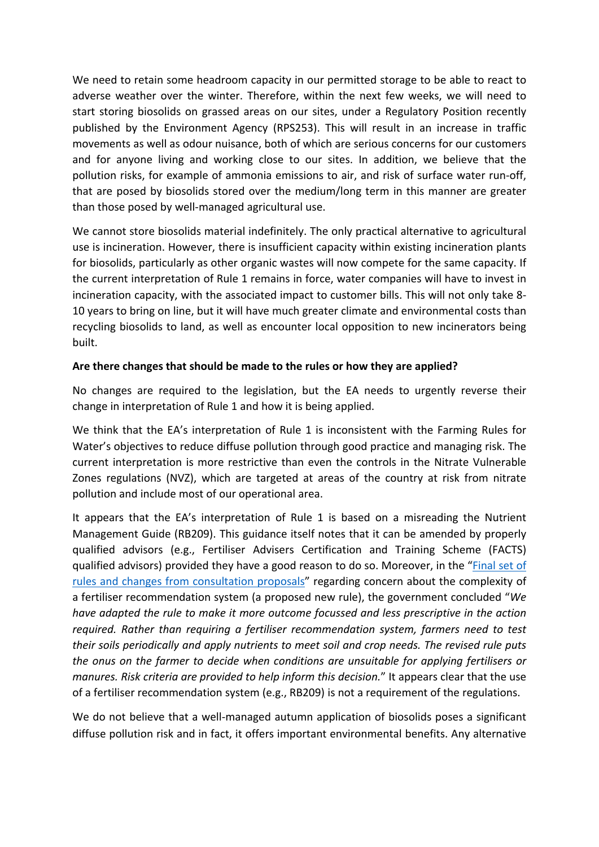We need to retain some headroom capacity in our permitted storage to be able to react to adverse weather over the winter. Therefore, within the next few weeks, we will need to start storing biosolids on grassed areas on our sites, under a Regulatory Position recently published by the Environment Agency (RPS253). This will result in an increase in traffic movements as well as odour nuisance, both of which are serious concerns for our customers and for anyone living and working close to our sites. In addition, we believe that the pollution risks, for example of ammonia emissions to air, and risk of surface water run-off, that are posed by biosolids stored over the medium/long term in this manner are greater than those posed by well-managed agricultural use.

We cannot store biosolids material indefinitely. The only practical alternative to agricultural use is incineration. However, there is insufficient capacity within existing incineration plants for biosolids, particularly as other organic wastes will now compete for the same capacity. If the current interpretation of Rule 1 remains in force, water companies will have to invest in incineration capacity, with the associated impact to customer bills. This will not only take 8- 10 years to bring on line, but it will have much greater climate and environmental costs than recycling biosolids to land, as well as encounter local opposition to new incinerators being built.

# **Are there changes that should be made to the rules or how they are applied?**

No changes are required to the legislation, but the EA needs to urgently reverse their change in interpretation of Rule 1 and how it is being applied.

We think that the EA's interpretation of Rule 1 is inconsistent with the Farming Rules for Water's objectives to reduce diffuse pollution through good practice and managing risk. The current interpretation is more restrictive than even the controls in the Nitrate Vulnerable Zones regulations (NVZ), which are targeted at areas of the country at risk from nitrate pollution and include most of our operational area.

It appears that the EA's interpretation of Rule 1 is based on a misreading the Nutrient Management Guide (RB209). This guidance itself notes that it can be amended by properly qualified advisors (e.g., Fertiliser Advisers Certification and Training Scheme (FACTS) qualified advisors) provided they have a good reason to do so. Moreover, in the "[Final](https://assets.publishing.service.gov.uk/government/uploads/system/uploads/attachment_data/file/663456/farming-rules-water-consult-sum-resp.pdf) [set](https://assets.publishing.service.gov.uk/government/uploads/system/uploads/attachment_data/file/663456/farming-rules-water-consult-sum-resp.pdf) [of](https://assets.publishing.service.gov.uk/government/uploads/system/uploads/attachment_data/file/663456/farming-rules-water-consult-sum-resp.pdf) [rules](https://assets.publishing.service.gov.uk/government/uploads/system/uploads/attachment_data/file/663456/farming-rules-water-consult-sum-resp.pdf) [and](https://assets.publishing.service.gov.uk/government/uploads/system/uploads/attachment_data/file/663456/farming-rules-water-consult-sum-resp.pdf) [changes](https://assets.publishing.service.gov.uk/government/uploads/system/uploads/attachment_data/file/663456/farming-rules-water-consult-sum-resp.pdf) [from](https://assets.publishing.service.gov.uk/government/uploads/system/uploads/attachment_data/file/663456/farming-rules-water-consult-sum-resp.pdf) [consultation](https://assets.publishing.service.gov.uk/government/uploads/system/uploads/attachment_data/file/663456/farming-rules-water-consult-sum-resp.pdf) [proposals](https://assets.publishing.service.gov.uk/government/uploads/system/uploads/attachment_data/file/663456/farming-rules-water-consult-sum-resp.pdf)" regarding concern about the complexity of a fertiliser recommendation system (a proposed new rule), the government concluded "*We have adapted the rule to make it more outcome focussed and less prescriptive in the action required. Rather than requiring a fertiliser recommendation system, farmers need to test their soils periodically and apply nutrients to meet soil and crop needs. The revised rule puts the onus on the farmer to decide when conditions are unsuitable for applying fertilisers or manures. Risk criteria are provided to help inform this decision.*" It appears clear that the use of a fertiliser recommendation system (e.g., RB209) is not a requirement of the regulations.

We do not believe that a well-managed autumn application of biosolids poses a significant diffuse pollution risk and in fact, it offers important environmental benefits. Any alternative